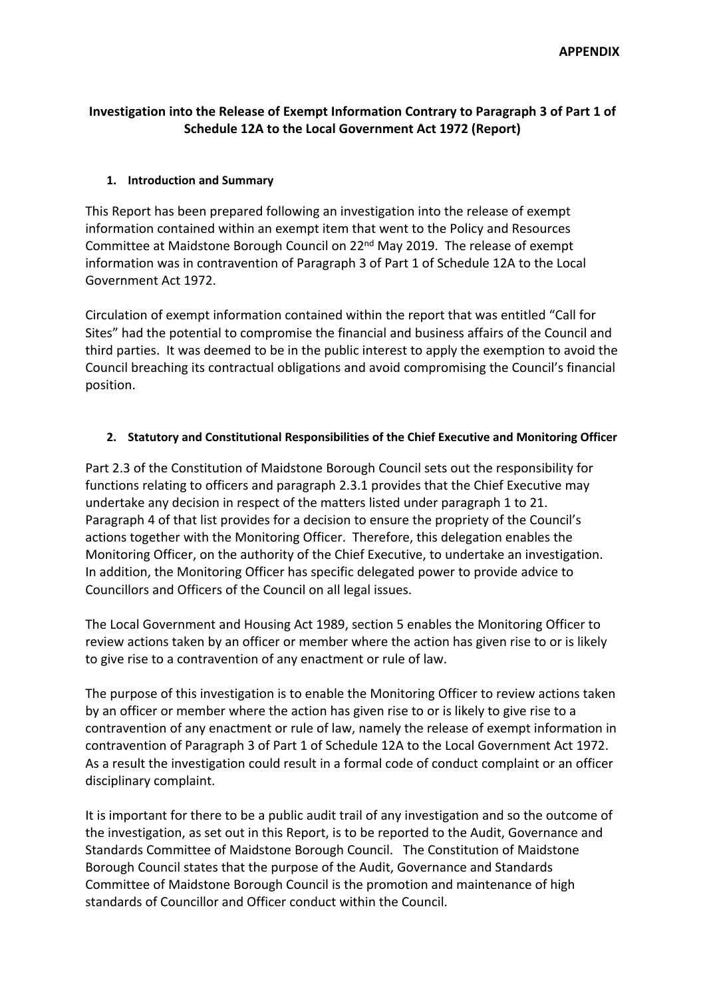# **Investigation into the Release of Exempt Information Contrary to Paragraph 3 of Part 1 of Schedule 12A to the Local Government Act 1972 (Report)**

## **1. Introduction and Summary**

This Report has been prepared following an investigation into the release of exempt information contained within an exempt item that went to the Policy and Resources Committee at Maidstone Borough Council on 22nd May 2019. The release of exempt information was in contravention of Paragraph 3 of Part 1 of Schedule 12A to the Local Government Act 1972.

Circulation of exempt information contained within the report that was entitled "Call for Sites" had the potential to compromise the financial and business affairs of the Council and third parties. It was deemed to be in the public interest to apply the exemption to avoid the Council breaching its contractual obligations and avoid compromising the Council's financial position.

## **2. Statutory and Constitutional Responsibilities of the Chief Executive and Monitoring Officer**

Part 2.3 of the Constitution of Maidstone Borough Council sets out the responsibility for functions relating to officers and paragraph 2.3.1 provides that the Chief Executive may undertake any decision in respect of the matters listed under paragraph 1 to 21. Paragraph 4 of that list provides for a decision to ensure the propriety of the Council's actions together with the Monitoring Officer. Therefore, this delegation enables the Monitoring Officer, on the authority of the Chief Executive, to undertake an investigation. In addition, the Monitoring Officer has specific delegated power to provide advice to Councillors and Officers of the Council on all legal issues.

The Local Government and Housing Act 1989, section 5 enables the Monitoring Officer to review actions taken by an officer or member where the action has given rise to or is likely to give rise to a contravention of any enactment or rule of law.

The purpose of this investigation is to enable the Monitoring Officer to review actions taken by an officer or member where the action has given rise to or is likely to give rise to a contravention of any enactment or rule of law, namely the release of exempt information in contravention of Paragraph 3 of Part 1 of Schedule 12A to the Local Government Act 1972. As a result the investigation could result in a formal code of conduct complaint or an officer disciplinary complaint.

It is important for there to be a public audit trail of any investigation and so the outcome of the investigation, as set out in this Report, is to be reported to the Audit, Governance and Standards Committee of Maidstone Borough Council. The Constitution of Maidstone Borough Council states that the purpose of the Audit, Governance and Standards Committee of Maidstone Borough Council is the promotion and maintenance of high standards of Councillor and Officer conduct within the Council.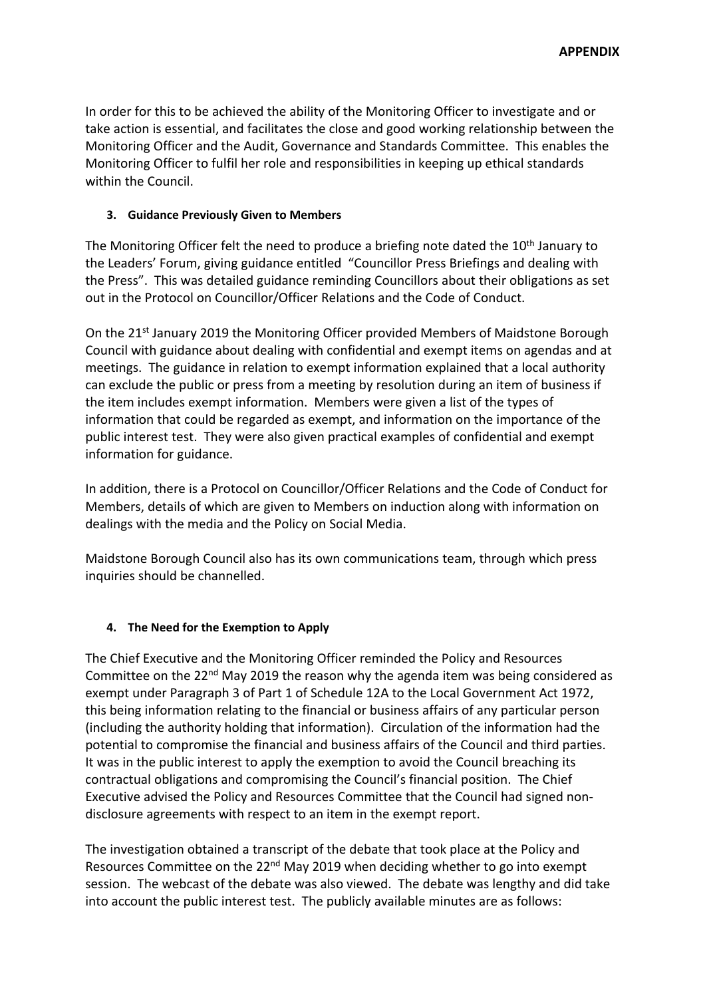In order for this to be achieved the ability of the Monitoring Officer to investigate and or take action is essential, and facilitates the close and good working relationship between the Monitoring Officer and the Audit, Governance and Standards Committee. This enables the Monitoring Officer to fulfil her role and responsibilities in keeping up ethical standards within the Council.

## **3. Guidance Previously Given to Members**

The Monitoring Officer felt the need to produce a briefing note dated the 10<sup>th</sup> January to the Leaders' Forum, giving guidance entitled "Councillor Press Briefings and dealing with the Press". This was detailed guidance reminding Councillors about their obligations as set out in the Protocol on Councillor/Officer Relations and the Code of Conduct.

On the 21st January 2019 the Monitoring Officer provided Members of Maidstone Borough Council with guidance about dealing with confidential and exempt items on agendas and at meetings. The guidance in relation to exempt information explained that a local authority can exclude the public or press from a meeting by resolution during an item of business if the item includes exempt information. Members were given a list of the types of information that could be regarded as exempt, and information on the importance of the public interest test. They were also given practical examples of confidential and exempt information for guidance.

In addition, there is a Protocol on Councillor/Officer Relations and the Code of Conduct for Members, details of which are given to Members on induction along with information on dealings with the media and the Policy on Social Media.

Maidstone Borough Council also has its own communications team, through which press inquiries should be channelled.

# **4. The Need for the Exemption to Apply**

The Chief Executive and the Monitoring Officer reminded the Policy and Resources Committee on the 22<sup>nd</sup> May 2019 the reason why the agenda item was being considered as exempt under Paragraph 3 of Part 1 of Schedule 12A to the Local Government Act 1972, this being information relating to the financial or business affairs of any particular person (including the authority holding that information). Circulation of the information had the potential to compromise the financial and business affairs of the Council and third parties. It was in the public interest to apply the exemption to avoid the Council breaching its contractual obligations and compromising the Council's financial position. The Chief Executive advised the Policy and Resources Committee that the Council had signed nondisclosure agreements with respect to an item in the exempt report.

The investigation obtained a transcript of the debate that took place at the Policy and Resources Committee on the 22<sup>nd</sup> May 2019 when deciding whether to go into exempt session. The webcast of the debate was also viewed. The debate was lengthy and did take into account the public interest test. The publicly available minutes are as follows: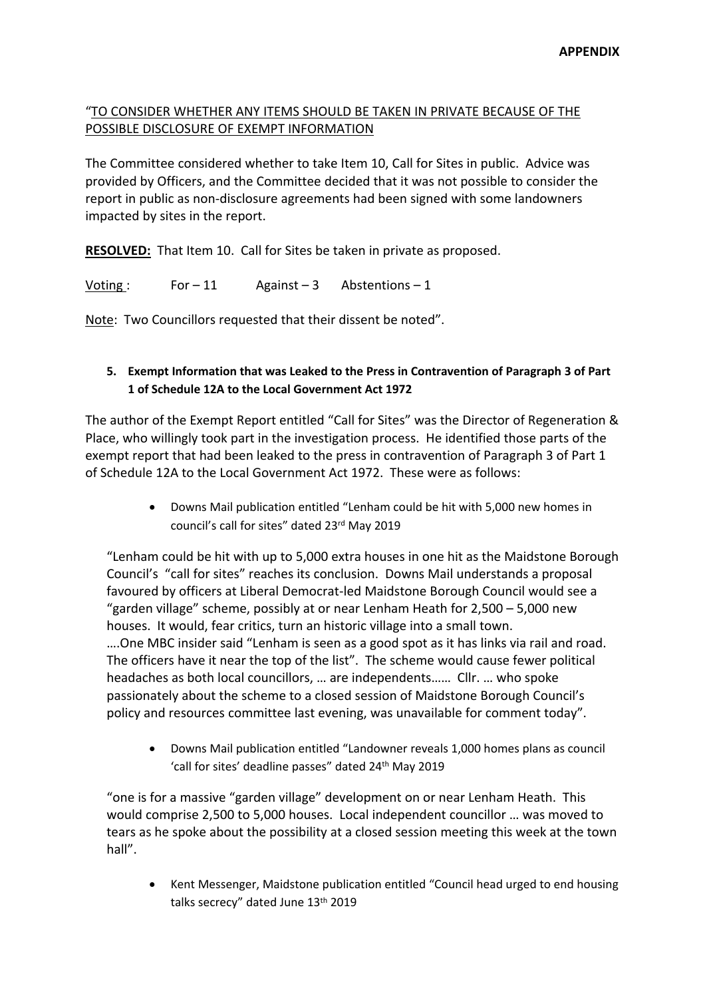## "TO CONSIDER WHETHER ANY ITEMS SHOULD BE TAKEN IN PRIVATE BECAUSE OF THE POSSIBLE DISCLOSURE OF EXEMPT INFORMATION

The Committee considered whether to take Item 10, Call for Sites in public. Advice was provided by Officers, and the Committee decided that it was not possible to consider the report in public as non-disclosure agreements had been signed with some landowners impacted by sites in the report.

**RESOLVED:** That Item 10. Call for Sites be taken in private as proposed.

Voting : For – 11 Against – 3 Abstentions – 1

Note: Two Councillors requested that their dissent be noted".

### **5. Exempt Information that was Leaked to the Press in Contravention of Paragraph 3 of Part 1 of Schedule 12A to the Local Government Act 1972**

The author of the Exempt Report entitled "Call for Sites" was the Director of Regeneration & Place, who willingly took part in the investigation process. He identified those parts of the exempt report that had been leaked to the press in contravention of Paragraph 3 of Part 1 of Schedule 12A to the Local Government Act 1972. These were as follows:

> Downs Mail publication entitled "Lenham could be hit with 5,000 new homes in council's call for sites" dated 23rd May 2019

"Lenham could be hit with up to 5,000 extra houses in one hit as the Maidstone Borough Council's "call for sites" reaches its conclusion. Downs Mail understands a proposal favoured by officers at Liberal Democrat-led Maidstone Borough Council would see a "garden village" scheme, possibly at or near Lenham Heath for 2,500 – 5,000 new houses. It would, fear critics, turn an historic village into a small town. ….One MBC insider said "Lenham is seen as a good spot as it has links via rail and road. The officers have it near the top of the list". The scheme would cause fewer political headaches as both local councillors, … are independents…… Cllr. … who spoke passionately about the scheme to a closed session of Maidstone Borough Council's policy and resources committee last evening, was unavailable for comment today".

 Downs Mail publication entitled "Landowner reveals 1,000 homes plans as council 'call for sites' deadline passes" dated 24<sup>th</sup> May 2019

"one is for a massive "garden village" development on or near Lenham Heath. This would comprise 2,500 to 5,000 houses. Local independent councillor … was moved to tears as he spoke about the possibility at a closed session meeting this week at the town hall".

 Kent Messenger, Maidstone publication entitled "Council head urged to end housing talks secrecy" dated June 13<sup>th</sup> 2019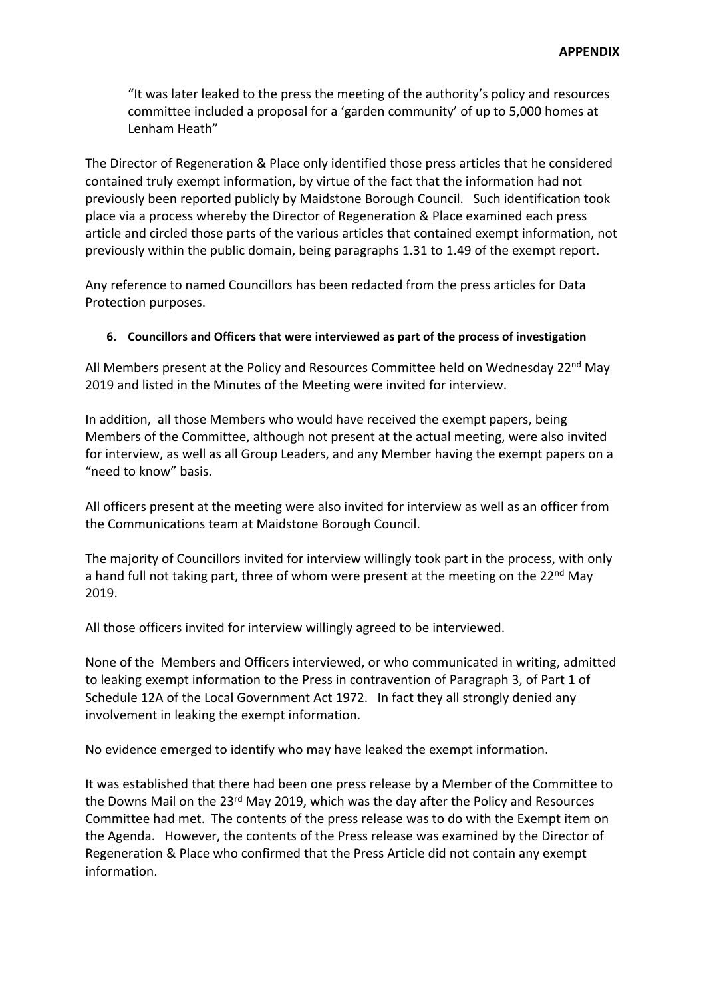"It was later leaked to the press the meeting of the authority's policy and resources committee included a proposal for a 'garden community' of up to 5,000 homes at Lenham Heath"

The Director of Regeneration & Place only identified those press articles that he considered contained truly exempt information, by virtue of the fact that the information had not previously been reported publicly by Maidstone Borough Council. Such identification took place via a process whereby the Director of Regeneration & Place examined each press article and circled those parts of the various articles that contained exempt information, not previously within the public domain, being paragraphs 1.31 to 1.49 of the exempt report.

Any reference to named Councillors has been redacted from the press articles for Data Protection purposes.

#### **6. Councillors and Officers that were interviewed as part of the process of investigation**

All Members present at the Policy and Resources Committee held on Wednesday  $22^{nd}$  May 2019 and listed in the Minutes of the Meeting were invited for interview.

In addition, all those Members who would have received the exempt papers, being Members of the Committee, although not present at the actual meeting, were also invited for interview, as well as all Group Leaders, and any Member having the exempt papers on a "need to know" basis.

All officers present at the meeting were also invited for interview as well as an officer from the Communications team at Maidstone Borough Council.

The majority of Councillors invited for interview willingly took part in the process, with only a hand full not taking part, three of whom were present at the meeting on the 22<sup>nd</sup> May 2019.

All those officers invited for interview willingly agreed to be interviewed.

None of the Members and Officers interviewed, or who communicated in writing, admitted to leaking exempt information to the Press in contravention of Paragraph 3, of Part 1 of Schedule 12A of the Local Government Act 1972. In fact they all strongly denied any involvement in leaking the exempt information.

No evidence emerged to identify who may have leaked the exempt information.

It was established that there had been one press release by a Member of the Committee to the Downs Mail on the 23rd May 2019, which was the day after the Policy and Resources Committee had met. The contents of the press release was to do with the Exempt item on the Agenda. However, the contents of the Press release was examined by the Director of Regeneration & Place who confirmed that the Press Article did not contain any exempt information.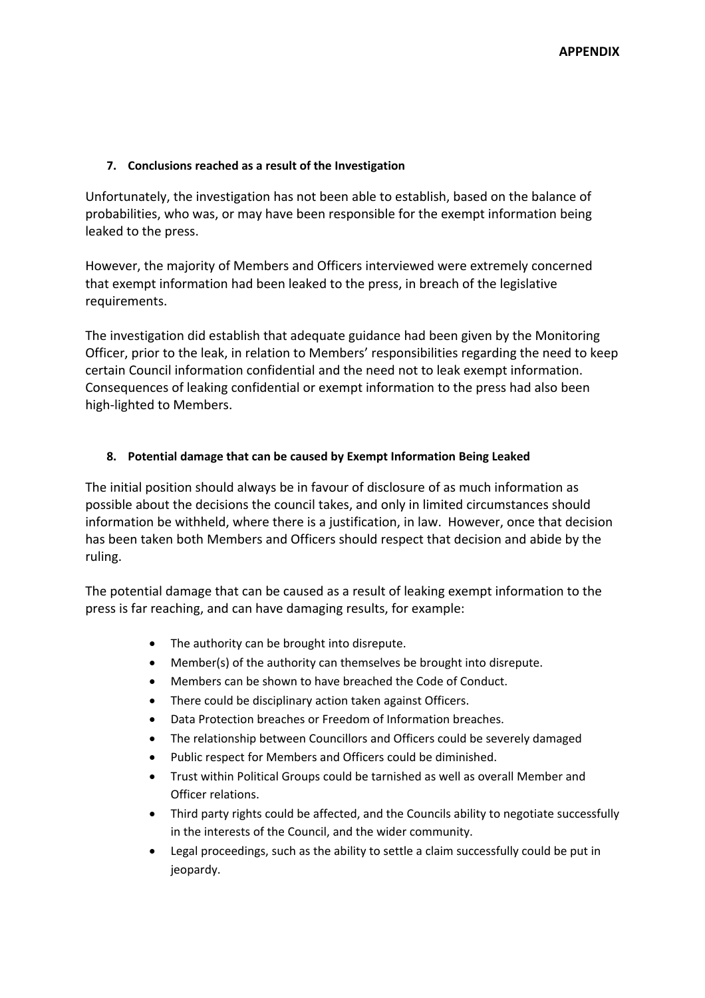### **7. Conclusions reached as a result of the Investigation**

Unfortunately, the investigation has not been able to establish, based on the balance of probabilities, who was, or may have been responsible for the exempt information being leaked to the press.

However, the majority of Members and Officers interviewed were extremely concerned that exempt information had been leaked to the press, in breach of the legislative requirements.

The investigation did establish that adequate guidance had been given by the Monitoring Officer, prior to the leak, in relation to Members' responsibilities regarding the need to keep certain Council information confidential and the need not to leak exempt information. Consequences of leaking confidential or exempt information to the press had also been high-lighted to Members.

### **8. Potential damage that can be caused by Exempt Information Being Leaked**

The initial position should always be in favour of disclosure of as much information as possible about the decisions the council takes, and only in limited circumstances should information be withheld, where there is a justification, in law. However, once that decision has been taken both Members and Officers should respect that decision and abide by the ruling.

The potential damage that can be caused as a result of leaking exempt information to the press is far reaching, and can have damaging results, for example:

- The authority can be brought into disrepute.
- Member(s) of the authority can themselves be brought into disrepute.
- Members can be shown to have breached the Code of Conduct.
- There could be disciplinary action taken against Officers.
- Data Protection breaches or Freedom of Information breaches.
- The relationship between Councillors and Officers could be severely damaged
- Public respect for Members and Officers could be diminished.
- Trust within Political Groups could be tarnished as well as overall Member and Officer relations.
- Third party rights could be affected, and the Councils ability to negotiate successfully in the interests of the Council, and the wider community.
- Legal proceedings, such as the ability to settle a claim successfully could be put in jeopardy.